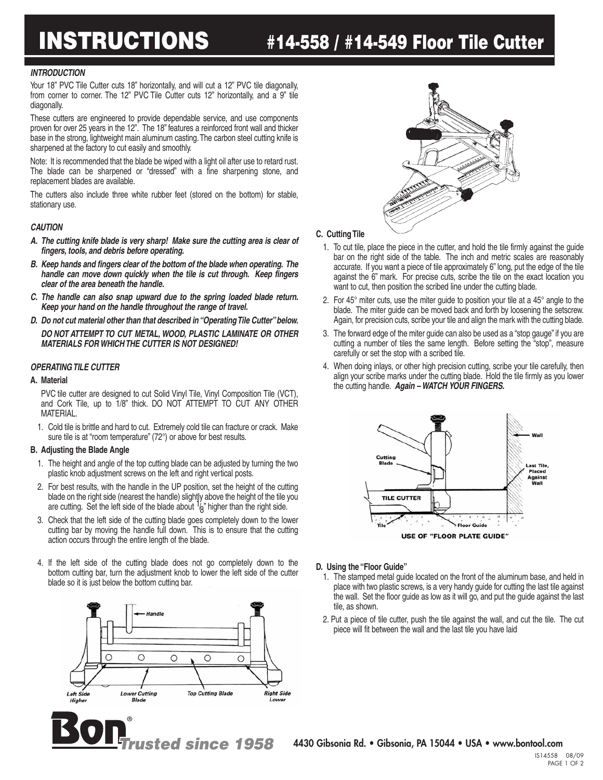# **INSTRUCTIONS #14-558 / #14-549 Floor Tile Cutter**

#### *INTRODUCTION*

Your 18" PVC Tile Cutter cuts 18" horizontally, and will cut a 12" PVC tile diagonally, from corner to corner. The 12" PVC Tile Cutter cuts 12" horizontally, and a 9" tile diagonally.

These cutters are engineered to provide dependable service, and use components proven for over 25 years in the 12". The 18" features a reinforced front wall and thicker base in the strong, lightweight main aluminum casting.The carbon steel cutting knife is sharpened at the factory to cut easily and smoothly.

Note: It is recommended that the blade be wiped with a light oil after use to retard rust. The blade can be sharpened or "dressed" with a fine sharpening stone, and replacement blades are available.

The cutters also include three white rubber feet (stored on the bottom) for stable, stationary use.

#### *CAUTION*

- *A. The cutting knife blade is very sharp! Make sure the cutting area is clear of fingers, tools, and debris before operating.*
- *B. Keep hands and fingers clear of the bottom of the blade when operating. The handle can move down quickly when the tile is cut through. Keep fingers clear of the area beneath the handle.*
- *C. The handle can also snap upward due to the spring loaded blade return. Keep your hand on the handle throughout the range of travel.*
- *D. Do not cut material other than that described in"OperatingTile Cutter"below. DO NOT ATTEMPT TO CUT METAL, WOOD, PLASTIC LAMINATE OR OTHER MATERIALS FOR WHICH THE CUTTER IS NOT DESIGNED!*

#### *OPERATING TILE CUTTER*

#### **A. Material**

PVC tile cutter are designed to cut Solid Vinyl Tile, Vinyl Composition Tile (VCT), and Cork Tile, up to 1/8" thick. DO NOT ATTEMPT TO CUT ANY OTHER MATERIAL.

1. Cold tile is brittle and hard to cut. Extremely cold tile can fracture or crack. Make sure tile is at "room temperature" (72°) or above for best results.

#### **B. Adjusting the Blade Angle**

- 1. The height and angle of the top cutting blade can be adjusted by turning the two plastic knob adjustment screws on the left and right vertical posts.
- 2. For best results, with the handle in the UP position, set the height of the cutting blade on the right side (nearest the handle) slightly above the height of the tile you are cutting. Set the left side of the blade about  $\frac{1}{2}$  higher than the right side.
- 3. Check that the left side of the cutting blade goes completely down to the lower cutting bar by moving the handle full down. This is to ensure that the cutting action occurs through the entire length of the blade.
- 4. If the left side of the cutting blade does not go completely down to the bottom cutting bar, turn the adjustment knob to lower the left side of the cutter blade so it is just below the bottom cutting bar.





### **C. Cutting Tile**

- 1. To cut tile, place the piece in the cutter, and hold the tile firmly against the guide bar on the right side of the table. The inch and metric scales are reasonably accurate. If you want a piece of tile approximately 6" long, put the edge of the tile against the 6" mark. For precise cuts, scribe the tile on the exact location you want to cut, then position the scribed line under the cutting blade.
- 2. For 45° miter cuts, use the miter guide to position your tile at a 45° angle to the blade. The miter guide can be moved back and forth by loosening the setscrew. Again, for precision cuts, scribe your tile and align the mark with the cutting blade.
- 3. The forward edge of the miter guide can also be used as a "stop gauge" if you are cutting a number of tiles the same length. Before setting the "stop", measure carefully or set the stop with a scribed tile.
- 4. When doing inlays, or other high precision cutting, scribe your tile carefully, then align your scribe marks under the cutting blade. Hold the tile firmly as you lower the cutting handle. *Again – WATCH YOUR FINGERS.*



#### **D. Using the "Floor Guide"**

- 1. The stamped metal guide located on the front of the aluminum base, and held in place with two plastic screws, is a very handy guide for cutting the last tile against the wall. Set the floor guide as low as it will go, and put the guide against the last tile, as shown.
- 2. Put a piece of tile cutter, push the tile against the wall, and cut the tile. The cut piece will fit between the wall and the last tile you have laid